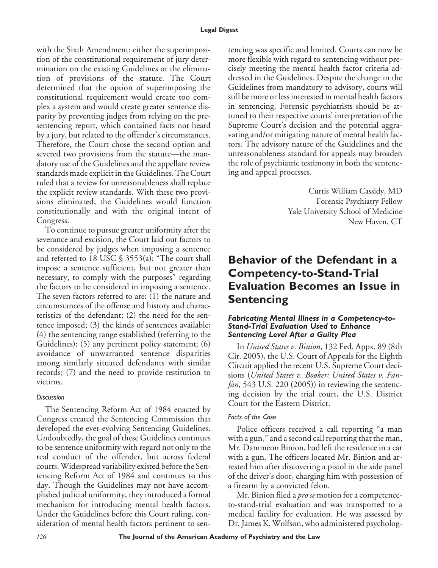with the Sixth Amendment: either the superimposition of the constitutional requirement of jury determination on the existing Guidelines or the elimination of provisions of the statute. The Court determined that the option of superimposing the constitutional requirement would create too complex a system and would create greater sentence disparity by preventing judges from relying on the presentencing report, which contained facts not heard by a jury, but related to the offender's circumstances. Therefore, the Court chose the second option and severed two provisions from the statute—the mandatory use of the Guidelines and the appellate review standards made explicit in the Guidelines. The Court ruled that a review for unreasonableness shall replace the explicit review standards. With these two provisions eliminated, the Guidelines would function constitutionally and with the original intent of Congress.

To continue to pursue greater uniformity after the severance and excision, the Court laid out factors to be considered by judges when imposing a sentence and referred to 18 USC § 3553(a): "The court shall impose a sentence sufficient, but not greater than necessary, to comply with the purposes" regarding the factors to be considered in imposing a sentence. The seven factors referred to are: (1) the nature and circumstances of the offense and history and characteristics of the defendant; (2) the need for the sentence imposed; (3) the kinds of sentences available; (4) the sentencing range established (referring to the Guidelines); (5) any pertinent policy statement; (6) avoidance of unwarranted sentence disparities among similarly situated defendants with similar records; (7) and the need to provide restitution to victims.

# *Discussion*

The Sentencing Reform Act of 1984 enacted by Congress created the Sentencing Commission that developed the ever-evolving Sentencing Guidelines. Undoubtedly, the goal of these Guidelines continues to be sentence uniformity with regard not only to the real conduct of the offender, but across federal courts. Widespread variability existed before the Sentencing Reform Act of 1984 and continues to this day. Though the Guidelines may not have accomplished judicial uniformity, they introduced a formal mechanism for introducing mental health factors. Under the Guidelines before this Court ruling, consideration of mental health factors pertinent to sentencing was specific and limited. Courts can now be more flexible with regard to sentencing without precisely meeting the mental health factor criteria addressed in the Guidelines. Despite the change in the Guidelines from mandatory to advisory, courts will still be more or less interested in mental health factors in sentencing. Forensic psychiatrists should be attuned to their respective courts' interpretation of the Supreme Court's decision and the potential aggravating and/or mitigating nature of mental health factors. The advisory nature of the Guidelines and the unreasonableness standard for appeals may broaden the role of psychiatric testimony in both the sentencing and appeal processes.

> Curtis William Cassidy, MD Forensic Psychiatry Fellow Yale University School of Medicine New Haven, CT

# **Behavior of the Defendant in a Competency-to-Stand-Trial Evaluation Becomes an Issue in Sentencing**

#### *Fabricating Mental Illness in a Competency-to-Stand-Trial Evaluation Used to Enhance Sentencing Level After a Guilty Plea*

In *United States v. Binion*, 132 Fed. Appx. 89 (8th Cir. 2005), the U.S. Court of Appeals for the Eighth Circuit applied the recent U.S. Supreme Court decisions (*United States v. Booker; United States v. Fanfan*, 543 U.S. 220 (2005)) in reviewing the sentencing decision by the trial court, the U.S. District Court for the Eastern District.

# *Facts of the Case*

Police officers received a call reporting "a man with a gun," and a second call reporting that the man, Mr. Dammeon Binion, had left the residence in a car with a gun. The officers located Mr. Binion and arrested him after discovering a pistol in the side panel of the driver's door, charging him with possession of a firearm by a convicted felon.

Mr. Binion filed a *pro se* motion for a competenceto-stand-trial evaluation and was transported to a medical facility for evaluation. He was assessed by Dr. James K. Wolfson, who administered psycholog-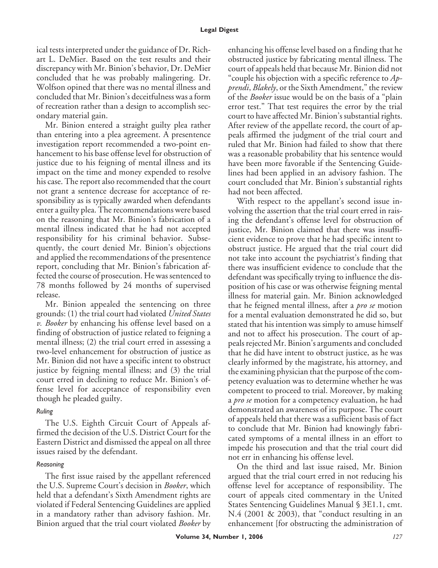#### **Legal Digest**

ical tests interpreted under the guidance of Dr. Richart L. DeMier. Based on the test results and their discrepancy with Mr. Binion's behavior, Dr. DeMier concluded that he was probably malingering. Dr. Wolfson opined that there was no mental illness and concluded that Mr. Binion's deceitfulness was a form of recreation rather than a design to accomplish secondary material gain.

Mr. Binion entered a straight guilty plea rather than entering into a plea agreement. A presentence investigation report recommended a two-point enhancement to his base offense level for obstruction of justice due to his feigning of mental illness and its impact on the time and money expended to resolve his case. The report also recommended that the court not grant a sentence decrease for acceptance of responsibility as is typically awarded when defendants enter a guilty plea. The recommendations were based on the reasoning that Mr. Binion's fabrication of a mental illness indicated that he had not accepted responsibility for his criminal behavior. Subsequently, the court denied Mr. Binion's objections and applied the recommendations of the presentence report, concluding that Mr. Binion's fabrication affected the course of prosecution. He was sentenced to 78 months followed by 24 months of supervised release.

Mr. Binion appealed the sentencing on three grounds: (1) the trial court had violated *United States v. Booker* by enhancing his offense level based on a finding of obstruction of justice related to feigning a mental illness; (2) the trial court erred in assessing a two-level enhancement for obstruction of justice as Mr. Binion did not have a specific intent to obstruct justice by feigning mental illness; and (3) the trial court erred in declining to reduce Mr. Binion's offense level for acceptance of responsibility even though he pleaded guilty.

# *Ruling*

The U.S. Eighth Circuit Court of Appeals affirmed the decision of the U.S. District Court for the Eastern District and dismissed the appeal on all three issues raised by the defendant.

# *Reasoning*

The first issue raised by the appellant referenced the U.S. Supreme Court's decision in *Booker*, which held that a defendant's Sixth Amendment rights are violated if Federal Sentencing Guidelines are applied in a mandatory rather than advisory fashion. Mr. Binion argued that the trial court violated *Booker* by enhancing his offense level based on a finding that he obstructed justice by fabricating mental illness. The court of appeals held that because Mr. Binion did not "couple his objection with a specific reference to *Apprendi*, *Blakely*, or the Sixth Amendment," the review of the *Booker* issue would be on the basis of a "plain error test." That test requires the error by the trial court to have affected Mr. Binion's substantial rights. After review of the appellate record, the court of appeals affirmed the judgment of the trial court and ruled that Mr. Binion had failed to show that there was a reasonable probability that his sentence would have been more favorable if the Sentencing Guidelines had been applied in an advisory fashion. The court concluded that Mr. Binion's substantial rights had not been affected.

With respect to the appellant's second issue involving the assertion that the trial court erred in raising the defendant's offense level for obstruction of justice, Mr. Binion claimed that there was insufficient evidence to prove that he had specific intent to obstruct justice. He argued that the trial court did not take into account the psychiatrist's finding that there was insufficient evidence to conclude that the defendant was specifically trying to influence the disposition of his case or was otherwise feigning mental illness for material gain. Mr. Binion acknowledged that he feigned mental illness, after a *pro se* motion for a mental evaluation demonstrated he did so, but stated that his intention was simply to amuse himself and not to affect his prosecution. The court of appeals rejected Mr. Binion's arguments and concluded that he did have intent to obstruct justice, as he was clearly informed by the magistrate, his attorney, and the examining physician that the purpose of the competency evaluation was to determine whether he was competent to proceed to trial. Moreover, by making a *pro se* motion for a competency evaluation, he had demonstrated an awareness of its purpose. The court of appeals held that there was a sufficient basis of fact to conclude that Mr. Binion had knowingly fabricated symptoms of a mental illness in an effort to impede his prosecution and that the trial court did not err in enhancing his offense level.

On the third and last issue raised, Mr. Binion argued that the trial court erred in not reducing his offense level for acceptance of responsibility. The court of appeals cited commentary in the United States Sentencing Guidelines Manual § 3E1.1, cmt. N.4 (2001 & 2003), that "conduct resulting in an enhancement [for obstructing the administration of